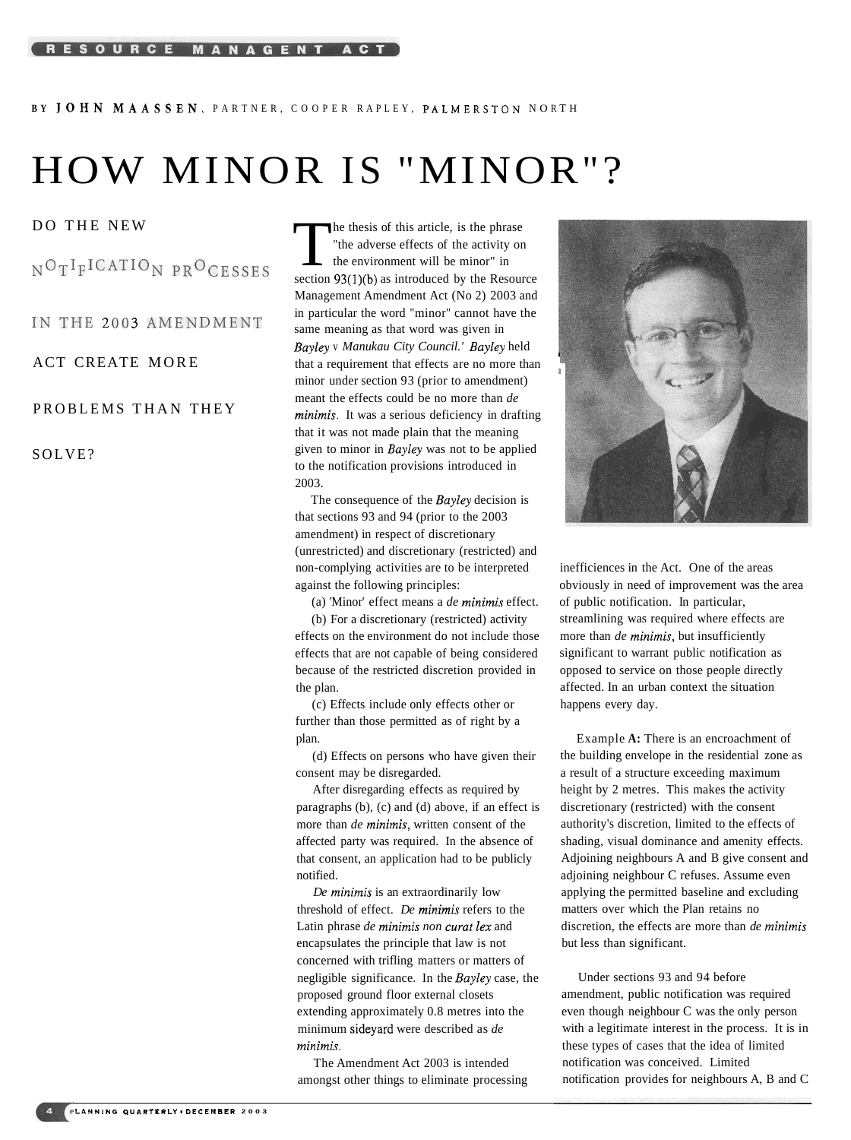BY JOHN MAASSEN, PARTNER, COOPER RAPLEY, PALMERSTON NORTH

# HOW MINOR IS "MINOR"?

# PROBLEMS THAN THEY

### SOLVE?

DO THE NEW **THE NEW** The thesis of this article, is the phrase<br>  $N^{\text{O}}T^{I}F^{I}CATIO_{N}PR^{\text{O}}CESSFS$  The adverse effects of the activity or "the adverse effects of the activity on the environment will be minor" in section  $93(1)(b)$  as introduced by the Resource Management Amendment Act (No 2) 2003 and IN THE 2003 AMENDMENT in particular the word "minor" cannot have the same meaning as that word was given in *Bayley* v *Manukau City Council.' Bayley* held ACT CREATE MORE that a requirement that effects are no more than minor under section 93 (prior to amendment) meant the effects could be no more than *de minimis.* It was a serious deficiency in drafting that it was not made plain that the meaning given to minor in *Bayley* was not to be applied to the notification provisions introduced in 2003.

> The consequence of the *Bayley* decision is that sections 93 and 94 (prior to the 2003 amendment) in respect of discretionary (unrestricted) and discretionary (restricted) and non-complying activities are to be interpreted against the following principles:

(a) 'Minor' effect means a *de minimis* effect.

(b) For a discretionary (restricted) activity effects on the environment do not include those effects that are not capable of being considered because of the restricted discretion provided in the plan.

(c) Effects include only effects other or further than those permitted as of right by a plan.

(d) Effects on persons who have given their consent may be disregarded.

After disregarding effects as required by paragraphs (b), (c) and (d) above, if an effect is more than *de minimis,* written consent of the affected party was required. In the absence of that consent, an application had to be publicly notified.

*De minimis* is an extraordinarily low threshold of effect. *De minimis* refers to the Latin phrase *de minimis non curat lex* and encapsulates the principle that law is not concerned with trifling matters or matters of negligible significance. In the *Bayley* case, the proposed ground floor external closets extending approximately 0.8 metres into the minimum sideyard were described as *de minimis.* 

The Amendment Act 2003 is intended amongst other things to eliminate processing



inefficiences in the Act. One of the areas obviously in need of improvement was the area of public notification. In particular, streamlining was required where effects are more than *de minimis,* but insufficiently significant to warrant public notification as opposed to service on those people directly affected. In an urban context the situation happens every day.

Example **A:** There is an encroachment of the building envelope in the residential zone as a result of a structure exceeding maximum height by 2 metres. This makes the activity discretionary (restricted) with the consent authority's discretion, limited to the effects of shading, visual dominance and amenity effects. Adjoining neighbours A and B give consent and adjoining neighbour C refuses. Assume even applying the permitted baseline and excluding matters over which the Plan retains no discretion, the effects are more than *de minimis*  but less than significant.

Under sections 93 and 94 before amendment, public notification was required even though neighbour C was the only person with a legitimate interest in the process. It is in these types of cases that the idea of limited notification was conceived. Limited notification provides for neighbours A, B and C